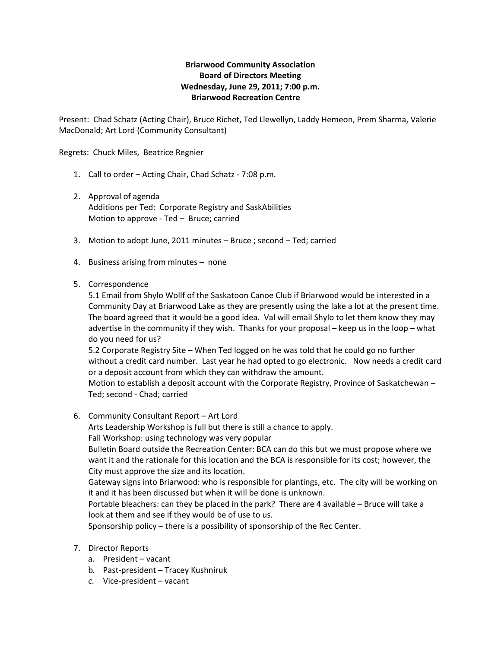## **Briarwood Community Association Board of Directors Meeting Wednesday, June 29, 2011; 7:00 p.m. Briarwood Recreation Centre**

Present: Chad Schatz (Acting Chair), Bruce Richet, Ted Llewellyn, Laddy Hemeon, Prem Sharma, Valerie MacDonald; Art Lord (Community Consultant)

Regrets: Chuck Miles, Beatrice Regnier

- 1. Call to order Acting Chair, Chad Schatz ‐ 7:08 p.m.
- 2. Approval of agenda Additions per Ted: Corporate Registry and SaskAbilities Motion to approve ‐ Ted – Bruce; carried
- 3. Motion to adopt June, 2011 minutes Bruce ; second Ted; carried
- 4. Business arising from minutes none

## 5. Correspondence

5.1 Email from Shylo Wollf of the Saskatoon Canoe Club if Briarwood would be interested in a Community Day at Briarwood Lake as they are presently using the lake a lot at the present time. The board agreed that it would be a good idea. Val will email Shylo to let them know they may advertise in the community if they wish. Thanks for your proposal – keep us in the loop – what do you need for us?

5.2 Corporate Registry Site – When Ted logged on he was told that he could go no further without a credit card number. Last year he had opted to go electronic. Now needs a credit card or a deposit account from which they can withdraw the amount.

Motion to establish a deposit account with the Corporate Registry, Province of Saskatchewan – Ted; second ‐ Chad; carried

6. Community Consultant Report – Art Lord

Arts Leadership Workshop is full but there is still a chance to apply.

Fall Workshop: using technology was very popular

Bulletin Board outside the Recreation Center: BCA can do this but we must propose where we want it and the rationale for this location and the BCA is responsible for its cost; however, the City must approve the size and its location.

Gateway signs into Briarwood: who is responsible for plantings, etc. The city will be working on it and it has been discussed but when it will be done is unknown.

Portable bleachers: can they be placed in the park? There are 4 available – Bruce will take a look at them and see if they would be of use to us.

Sponsorship policy – there is a possibility of sponsorship of the Rec Center.

- 7. Director Reports
	- a. President vacant
	- b. Past-president Tracey Kushniruk
	- c. Vice‐president vacant